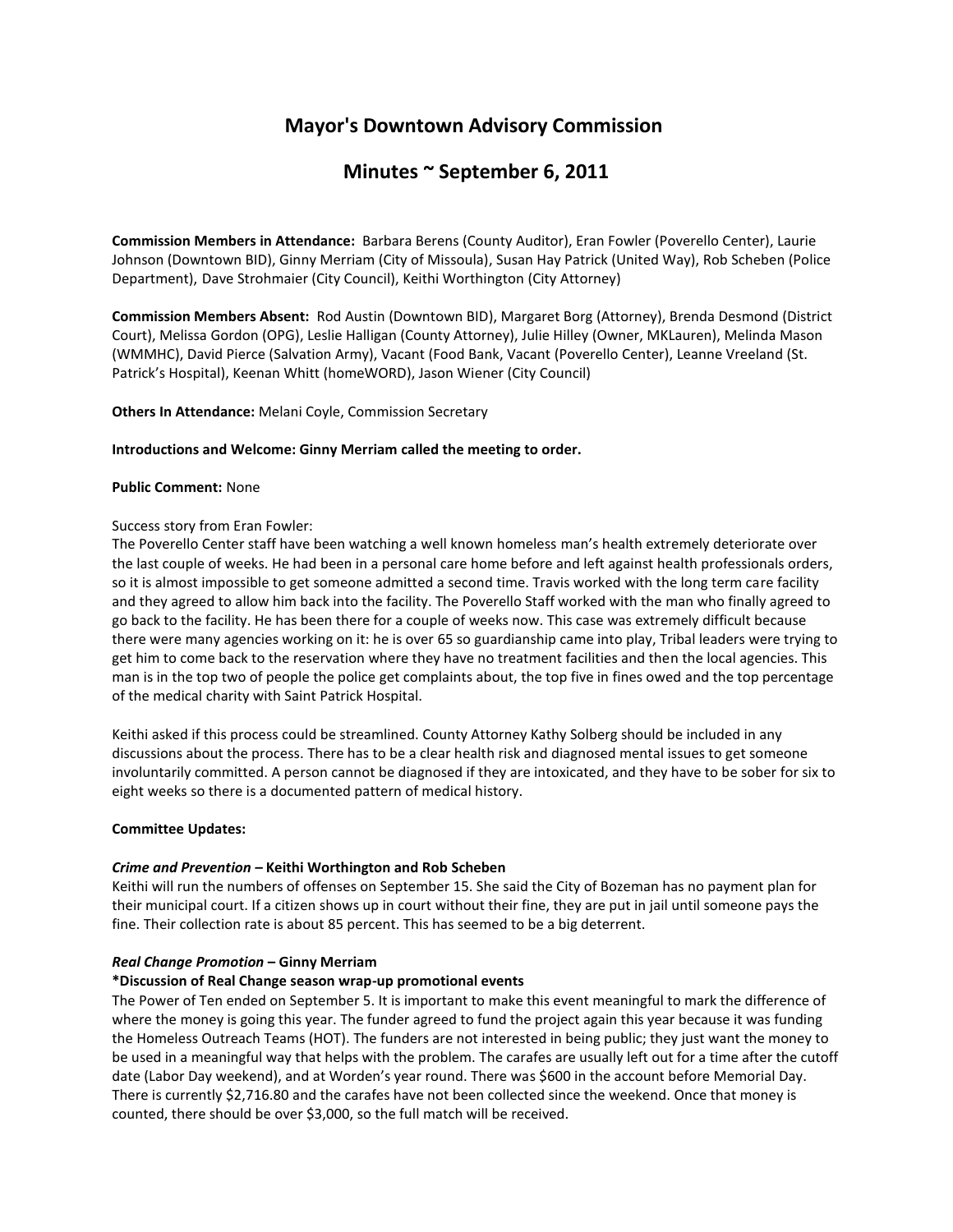# **Mayor's Downtown Advisory Commission**

# **Minutes ~ September 6, 2011**

**Commission Members in Attendance:** Barbara Berens (County Auditor), Eran Fowler (Poverello Center), Laurie Johnson (Downtown BID), Ginny Merriam (City of Missoula), Susan Hay Patrick (United Way), Rob Scheben (Police Department), Dave Strohmaier (City Council), Keithi Worthington (City Attorney)

**Commission Members Absent:** Rod Austin (Downtown BID), Margaret Borg (Attorney), Brenda Desmond (District Court), Melissa Gordon (OPG), Leslie Halligan (County Attorney), Julie Hilley (Owner, MKLauren), Melinda Mason (WMMHC), David Pierce (Salvation Army), Vacant (Food Bank, Vacant (Poverello Center), Leanne Vreeland (St. Patrick's Hospital), Keenan Whitt (homeWORD), Jason Wiener (City Council)

## **Others In Attendance:** Melani Coyle, Commission Secretary

#### **Introductions and Welcome: Ginny Merriam called the meeting to order.**

#### **Public Comment:** None

#### Success story from Eran Fowler:

The Poverello Center staff have been watching a well known homeless man's health extremely deteriorate over the last couple of weeks. He had been in a personal care home before and left against health professionals orders, so it is almost impossible to get someone admitted a second time. Travis worked with the long term care facility and they agreed to allow him back into the facility. The Poverello Staff worked with the man who finally agreed to go back to the facility. He has been there for a couple of weeks now. This case was extremely difficult because there were many agencies working on it: he is over 65 so guardianship came into play, Tribal leaders were trying to get him to come back to the reservation where they have no treatment facilities and then the local agencies. This man is in the top two of people the police get complaints about, the top five in fines owed and the top percentage of the medical charity with Saint Patrick Hospital.

Keithi asked if this process could be streamlined. County Attorney Kathy Solberg should be included in any discussions about the process. There has to be a clear health risk and diagnosed mental issues to get someone involuntarily committed. A person cannot be diagnosed if they are intoxicated, and they have to be sober for six to eight weeks so there is a documented pattern of medical history.

#### **Committee Updates:**

## *Crime and Prevention –* **Keithi Worthington and Rob Scheben**

Keithi will run the numbers of offenses on September 15. She said the City of Bozeman has no payment plan for their municipal court. If a citizen shows up in court without their fine, they are put in jail until someone pays the fine. Their collection rate is about 85 percent. This has seemed to be a big deterrent.

## *Real Change Promotion* **– Ginny Merriam**

## **\*Discussion of Real Change season wrap-up promotional events**

The Power of Ten ended on September 5. It is important to make this event meaningful to mark the difference of where the money is going this year. The funder agreed to fund the project again this year because it was funding the Homeless Outreach Teams (HOT). The funders are not interested in being public; they just want the money to be used in a meaningful way that helps with the problem. The carafes are usually left out for a time after the cutoff date (Labor Day weekend), and at Worden's year round. There was \$600 in the account before Memorial Day. There is currently \$2,716.80 and the carafes have not been collected since the weekend. Once that money is counted, there should be over \$3,000, so the full match will be received.